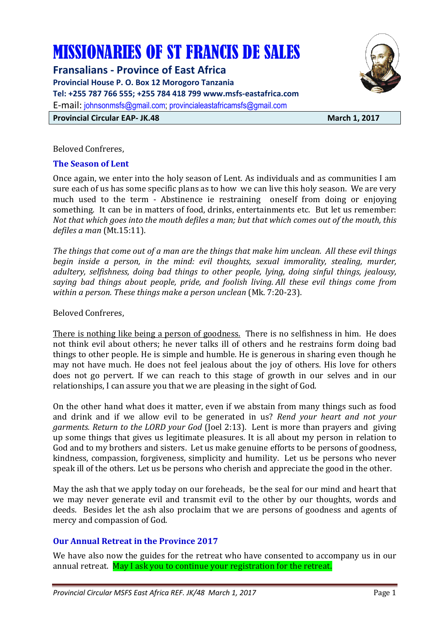# MISSIONARIES OF ST FRANCIS DE SALES

**Fransalians - Province of East Africa Provincial House P. O. Box 12 Morogoro Tanzania Tel: +255 787 766 555; +255 784 418 799 www.msfs-eastafrica.com**  E-mail: johnsonmsfs@gmail.com; provincialeastafricamsfs@gmail.com **Provincial Circular EAP- JK.48** March 1, 2017



Beloved Confreres,

#### **The Season of Lent**

Once again, we enter into the holy season of Lent. As individuals and as communities I am sure each of us has some specific plans as to how we can live this holy season. We are very much used to the term - Abstinence ie restraining oneself from doing or enjoying something. It can be in matters of food, drinks, entertainments etc. But let us remember: *Not that which goes into the mouth defiles a man; but that which comes out of the mouth, this defiles a man* (Mt.15:11).

*The things that come out of a man are the things that make him unclean. All these evil things begin inside a person, in the mind: evil thoughts, sexual immorality, stealing, murder, adultery, selfishness, doing bad things to other people, lying, doing sinful things, jealousy, saying bad things about people, pride, and foolish living. All these evil things come from within a person. These things make a person unclean* (Mk. 7:20-23).

Beloved Confreres,

There is nothing like being a person of goodness. There is no selfishness in him. He does not think evil about others; he never talks ill of others and he restrains form doing bad things to other people. He is simple and humble. He is generous in sharing even though he may not have much. He does not feel jealous about the joy of others. His love for others does not go pervert. If we can reach to this stage of growth in our selves and in our relationships, I can assure you that we are pleasing in the sight of God.

On the other hand what does it matter, even if we abstain from many things such as food and drink and if we allow evil to be generated in us? *Rend your heart and not your garments. Return to the LORD your God* (Joel 2:13). Lent is more than prayers and giving up some things that gives us legitimate pleasures. It is all about my person in relation to God and to my brothers and sisters. Let us make genuine efforts to be persons of goodness, kindness, compassion, forgiveness, simplicity and humility. Let us be persons who never speak ill of the others. Let us be persons who cherish and appreciate the good in the other.

May the ash that we apply today on our foreheads, be the seal for our mind and heart that we may never generate evil and transmit evil to the other by our thoughts, words and deeds. Besides let the ash also proclaim that we are persons of goodness and agents of mercy and compassion of God.

#### **Our Annual Retreat in the Province 2017**

We have also now the guides for the retreat who have consented to accompany us in our annual retreat. May I ask you to continue your registration for the retreat.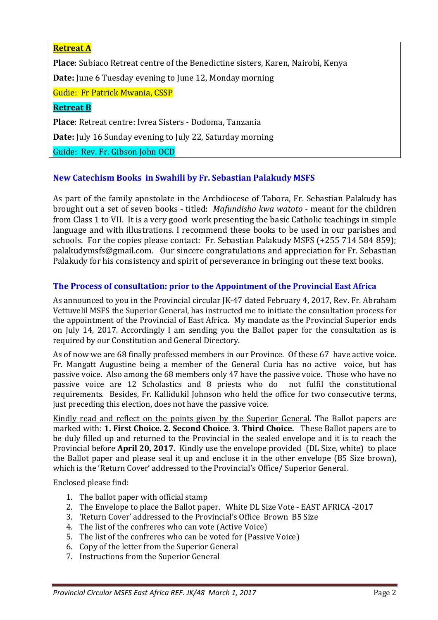## **Retreat A**

**Place**: Subiaco Retreat centre of the Benedictine sisters, Karen, Nairobi, Kenya

**Date:** June 6 Tuesday evening to June 12, Monday morning

Gudie: Fr Patrick Mwania, CSSP

#### **Retreat B**

**Place**: Retreat centre: Ivrea Sisters - Dodoma, Tanzania

**Date:** July 16 Sunday evening to July 22, Saturday morning

Guide: Rev. Fr. Gibson John OCD

#### **New Catechism Books in Swahili by Fr. Sebastian Palakudy MSFS**

As part of the family apostolate in the Archdiocese of Tabora, Fr. Sebastian Palakudy has brought out a set of seven books - titled: *Mafundisho kwa watoto* - meant for the children from Class 1 to VII. It is a very good work presenting the basic Catholic teachings in simple language and with illustrations. I recommend these books to be used in our parishes and schools. For the copies please contact: Fr. Sebastian Palakudy MSFS (+255 714 584 859); palakudymsfs@gmail.com. Our sincere congratulations and appreciation for Fr. Sebastian Palakudy for his consistency and spirit of perseverance in bringing out these text books.

#### **The Process of consultation: prior to the Appointment of the Provincial East Africa**

As announced to you in the Provincial circular JK-47 dated February 4, 2017, Rev. Fr. Abraham Vettuvelil MSFS the Superior General, has instructed me to initiate the consultation process for the appointment of the Provincial of East Africa. My mandate as the Provincial Superior ends on July 14, 2017. Accordingly I am sending you the Ballot paper for the consultation as is required by our Constitution and General Directory.

As of now we are 68 finally professed members in our Province. Of these 67 have active voice. Fr. Mangatt Augustine being a member of the General Curia has no active voice, but has passive voice. Also among the 68 members only 47 have the passive voice. Those who have no passive voice are 12 Scholastics and 8 priests who do not fulfil the constitutional requirements. Besides, Fr. Kallidukil Johnson who held the office for two consecutive terms, just preceding this election, does not have the passive voice.

Kindly read and reflect on the points given by the Superior General. The Ballot papers are marked with: **1. First Choice**. **2. Second Choice. 3. Third Choice.** These Ballot papers are to be duly filled up and returned to the Provincial in the sealed envelope and it is to reach the Provincial before **April 20, 2017**. Kindly use the envelope provided (DL Size, white) to place the Ballot paper and please seal it up and enclose it in the other envelope (B5 Size brown), which is the 'Return Cover' addressed to the Provincial's Office/ Superior General.

Enclosed please find:

- 1. The ballot paper with official stamp
- 2. The Envelope to place the Ballot paper. White DL Size Vote EAST AFRICA -2017
- 3. 'Return Cover' addressed to the Provincial's Office Brown B5 Size
- 4. The list of the confreres who can vote (Active Voice)
- 5. The list of the confreres who can be voted for (Passive Voice)
- 6. Copy of the letter from the Superior General
- 7. Instructions from the Superior General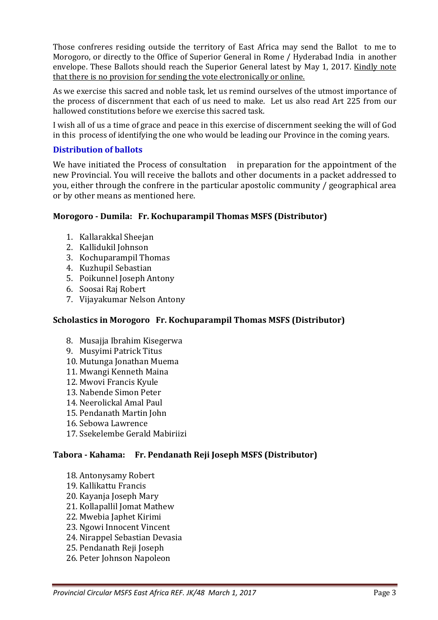Those confreres residing outside the territory of East Africa may send the Ballot to me to Morogoro, or directly to the Office of Superior General in Rome / Hyderabad India in another envelope. These Ballots should reach the Superior General latest by May 1, 2017. Kindly note that there is no provision for sending the vote electronically or online.

As we exercise this sacred and noble task, let us remind ourselves of the utmost importance of the process of discernment that each of us need to make. Let us also read Art 225 from our hallowed constitutions before we exercise this sacred task.

I wish all of us a time of grace and peace in this exercise of discernment seeking the will of God in this process of identifying the one who would be leading our Province in the coming years.

## **Distribution of ballots**

We have initiated the Process of consultation in preparation for the appointment of the new Provincial. You will receive the ballots and other documents in a packet addressed to you, either through the confrere in the particular apostolic community / geographical area or by other means as mentioned here.

## **Morogoro - Dumila: Fr. Kochuparampil Thomas MSFS (Distributor)**

- 1. Kallarakkal Sheejan
- 2. Kallidukil Johnson
- 3. Kochuparampil Thomas
- 4. Kuzhupil Sebastian
- 5. Poikunnel Joseph Antony
- 6. Soosai Raj Robert
- 7. Vijayakumar Nelson Antony

## **Scholastics in Morogoro Fr. Kochuparampil Thomas MSFS (Distributor)**

- 8. Musajia Ibrahim Kisegerwa
- 9. Musyimi Patrick Titus
- 10. Mutunga Jonathan Muema
- 11. Mwangi Kenneth Maina
- 12. Mwovi Francis Kyule
- 13. Nabende Simon Peter
- 14. Neerolickal Amal Paul
- 15. Pendanath Martin John
- 16. Sebowa Lawrence
- 17. Ssekelembe Gerald Mabiriizi

# **Tabora - Kahama: Fr. Pendanath Reji Joseph MSFS (Distributor)**

- 18. Antonysamy Robert
- 19. Kallikattu Francis
- 20. Kayanja Joseph Mary
- 21. Kollapallil Jomat Mathew
- 22. Mwebia Japhet Kirimi
- 23. Ngowi Innocent Vincent
- 24. Nirappel Sebastian Devasia
- 25. Pendanath Reji Joseph
- 26. Peter Johnson Napoleon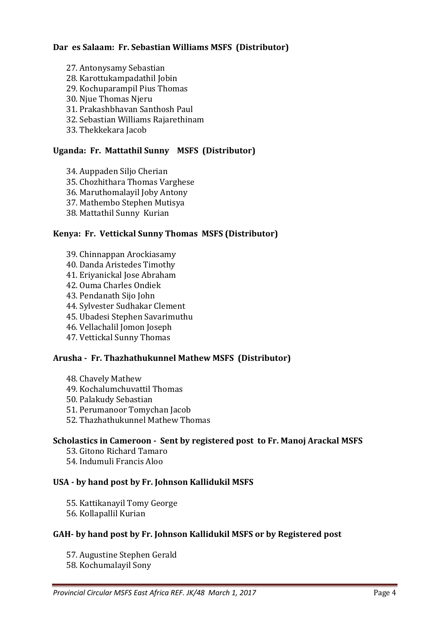#### **Dar es Salaam: Fr. Sebastian Williams MSFS (Distributor)**

- 27. Antonysamy Sebastian
- 28. Karottukampadathil Jobin
- 29. Kochuparampil Pius Thomas
- 30. Njue Thomas Njeru
- 31. Prakashbhavan Santhosh Paul
- 32. Sebastian Williams Rajarethinam
- 33. Thekkekara Jacob

#### **Uganda: Fr. Mattathil Sunny MSFS (Distributor)**

- 34. Auppaden Siljo Cherian
- 35. Chozhithara Thomas Varghese
- 36. Maruthomalayil Joby Antony
- 37. Mathembo Stephen Mutisya
- 38. Mattathil Sunny Kurian

#### **Kenya: Fr. Vettickal Sunny Thomas MSFS (Distributor)**

- 39. Chinnappan Arockiasamy
- 40. Danda Aristedes Timothy
- 41. Eriyanickal Jose Abraham
- 42. Ouma Charles Ondiek
- 43. Pendanath Sijo John
- 44. Sylvester Sudhakar Clement
- 45. Ubadesi Stephen Savarimuthu
- 46. Vellachalil Jomon Joseph
- 47. Vettickal Sunny Thomas

#### **Arusha - Fr. Thazhathukunnel Mathew MSFS (Distributor)**

- 48. Chavely Mathew
- 49. Kochalumchuvattil Thomas
- 50. Palakudy Sebastian
- 51. Perumanoor Tomychan Jacob
- 52. Thazhathukunnel Mathew Thomas

#### **Scholastics in Cameroon - Sent by registered post to Fr. Manoj Arackal MSFS**

- 53. Gitono Richard Tamaro
- 54. Indumuli Francis Aloo

#### **USA - by hand post by Fr. Johnson Kallidukil MSFS**

- 55. Kattikanayil Tomy George
- 56. Kollapallil Kurian

#### **GAH- by hand post by Fr. Johnson Kallidukil MSFS or by Registered post**

57. Augustine Stephen Gerald 58. Kochumalayil Sony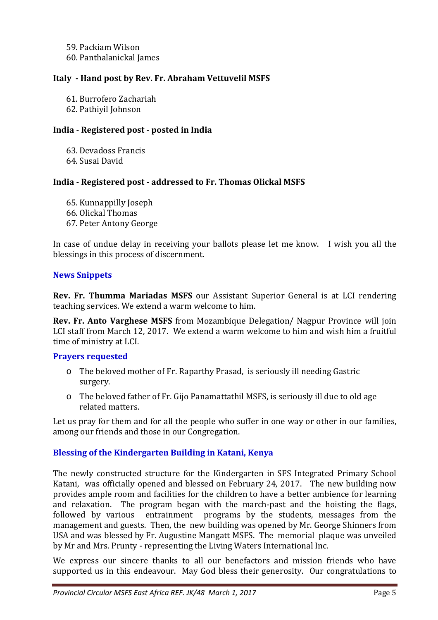59. Packiam Wilson 60. Panthalanickal James

#### **Italy - Hand post by Rev. Fr. Abraham Vettuvelil MSFS**

61. Burrofero Zachariah

62. Pathiyil Johnson

## **India - Registered post - posted in India**

63. Devadoss Francis 64. Susai David

#### **India - Registered post - addressed to Fr. Thomas Olickal MSFS**

65. Kunnappilly Joseph 66. Olickal Thomas

67. Peter Antony George

In case of undue delay in receiving your ballots please let me know. I wish you all the blessings in this process of discernment.

## **News Snippets**

**Rev. Fr. Thumma Mariadas MSFS** our Assistant Superior General is at LCI rendering teaching services. We extend a warm welcome to him.

**Rev. Fr. Anto Varghese MSFS** from Mozambique Delegation/ Nagpur Province will join LCI staff from March 12, 2017. We extend a warm welcome to him and wish him a fruitful time of ministry at LCI.

#### **Prayers requested**

- o The beloved mother of Fr. Raparthy Prasad, is seriously ill needing Gastric surgery.
- o The beloved father of Fr. Gijo Panamattathil MSFS, is seriously ill due to old age related matters.

Let us pray for them and for all the people who suffer in one way or other in our families, among our friends and those in our Congregation.

## **Blessing of the Kindergarten Building in Katani, Kenya**

The newly constructed structure for the Kindergarten in SFS Integrated Primary School Katani, was officially opened and blessed on February 24, 2017. The new building now provides ample room and facilities for the children to have a better ambience for learning and relaxation. The program began with the march-past and the hoisting the flags, followed by various entrainment programs by the students, messages from the management and guests. Then, the new building was opened by Mr. George Shinners from USA and was blessed by Fr. Augustine Mangatt MSFS. The memorial plaque was unveiled by Mr and Mrs. Prunty - representing the Living Waters International Inc.

We express our sincere thanks to all our benefactors and mission friends who have supported us in this endeavour. May God bless their generosity. Our congratulations to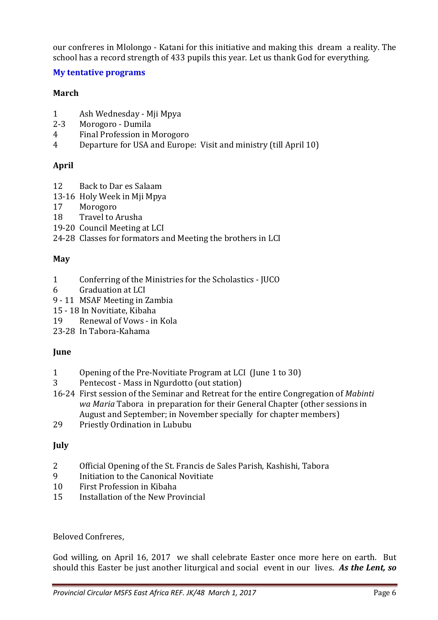our confreres in Mlolongo - Katani for this initiative and making this dream a reality. The school has a record strength of 433 pupils this year. Let us thank God for everything.

## **My tentative programs**

## **March**

- 1 Ash Wednesday Mji Mpya
- 2-3 Morogoro Dumila
- 4 Final Profession in Morogoro
- 4 Departure for USA and Europe: Visit and ministry (till April 10)

# **April**

- 12 Back to Dar es Salaam
- 13-16 Holy Week in Mji Mpya
- 17 Morogoro
- 18 Travel to Arusha
- 19-20 Council Meeting at LCI
- 24-28 Classes for formators and Meeting the brothers in LCI

## **May**

- 1 Conferring of the Ministries for the Scholastics JUCO
- 6 Graduation at LCI
- 9 11 MSAF Meeting in Zambia
- 15 18 In Novitiate, Kibaha
- 19 Renewal of Vows in Kola
- 23-28 In Tabora-Kahama

# **June**

- 1 Opening of the Pre-Novitiate Program at LCI (June 1 to 30)
- 3 Pentecost Mass in Ngurdotto (out station)
- 16-24 First session of the Seminar and Retreat for the entire Congregation of *Mabinti wa Maria* Tabora in preparation for their General Chapter (other sessions in August and September; in November specially for chapter members)
- 29 Priestly Ordination in Lububu

# **July**

- 2 Official Opening of the St. Francis de Sales Parish, Kashishi, Tabora
- 9 Initiation to the Canonical Novitiate
- 10 First Profession in Kibaha
- 15 Installation of the New Provincial

Beloved Confreres,

God willing, on April 16, 2017 we shall celebrate Easter once more here on earth. But should this Easter be just another liturgical and social event in our lives. *As the Lent, so*